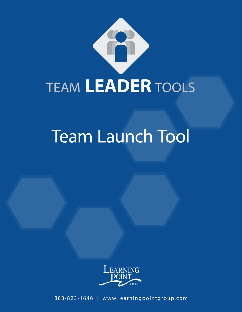

# Team Launch Tool



888-823-1646 | www.learningpointgroup.com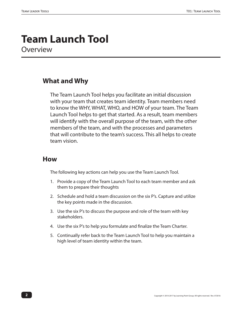### **Team Launch Tool Overview**

#### **What and Why**

The Team Launch Tool helps you facilitate an initial discussion with your team that creates team identity. Team members need to know the WHY, WHAT, WHO, and HOW of your team. The Team Launch Tool helps to get that started. As a result, team members will identify with the overall purpose of the team, with the other members of the team, and with the processes and parameters that will contribute to the team's success. This all helps to create team vision.

#### **How**

The following key actions can help you use the Team Launch Tool.

- 1. Provide a copy of the Team Launch Tool to each team member and ask them to prepare their thoughts
- 2. Schedule and hold a team discussion on the six P's. Capture and utilize the key points made in the discussion.
- 3. Use the six P's to discuss the purpose and role of the team with key stakeholders.
- 4. Use the six P's to help you formulate and finalize the Team Charter.
- 5. Continually refer back to the Team Launch Tool to help you maintain a high level of team identity within the team.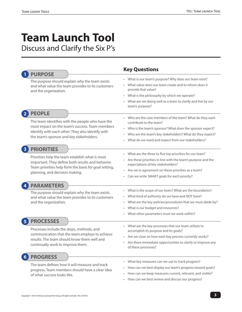# **Team Launch Tool**

Discuss and Clarify the Six P's

| <b>PURPOSE</b>                                                                                                                                                                                                        | <b>Key Questions</b>                                                                                                                                                                                                                                                                            |
|-----------------------------------------------------------------------------------------------------------------------------------------------------------------------------------------------------------------------|-------------------------------------------------------------------------------------------------------------------------------------------------------------------------------------------------------------------------------------------------------------------------------------------------|
| The purpose should explain why the team exists<br>and what value the team provides to its customers<br>and the organization.                                                                                          | • What is our team's purpose? Why does our team exist?<br>• What value does our team create and to whom does it<br>provide that value?<br>• What is the philosophy by which we operate?<br>What are we doing well as a team to clarify and live by our<br>team's purpose?                       |
| <b>PEOPLE</b><br>The team identifies with the people who have the<br>most impact on the team's success. Team members<br>identify with each other. They also identify with<br>the team's sponsor and key stakeholders. | • Who are the core members of the team? What do they each<br>contribute to the team?<br>• Who is the team's sponsor? What does the sponsor expect?<br>Who are the team's key stakeholders? What do they expect?<br>$\bullet$<br>What do we need and expect from our stakeholders?<br>$\bullet$  |
| <b>PRIORITIES</b><br>Priorities help the team establish what is most<br>important. They define both results and behavior.<br>Team priorities help form the basis for goal setting,<br>planning, and decision making.  | What are the three to five top priorities for our team?<br>$\bullet$<br>Are these priorities in line with the team's purpose and the<br>$\bullet$<br>expectations of key stakeholders?<br>• Are we in agreement on these priorities as a team?<br>• Can we write SMART goals for each priority? |
| <b>PARAMETERS</b><br>The purpose should explain why the team exists<br>and what value the team provides to its customers<br>and the organization.                                                                     | • What is the scope of our team? What are the boundaries?<br>• What kind of authority do we have and NOT have?<br>• What are the key policies/procedures that we must abide by?<br>What is our budget and resources?<br>$\bullet$<br>• What other parameters must we work within?               |
| <b>PROCESSES</b><br>Processes include the steps, methods, and<br>communication that the team employs to achieve<br>results. The team should know them well and<br>continually work to improve them.                   | • What are the key processes that our team utilizes to<br>accomplish its purpose and its goals?<br>• Are we clear on how each key process currently works?<br>Are there immediate opportunities to clarify or improve any<br>$\bullet$<br>of these processes?                                   |
| <b>PROGRESS</b><br>The team defines how it will measure and track<br>progress. Team members should have a clear idea<br>of what success looks like.                                                                   | What key measures can we use to track progress?<br>$\bullet$<br>How can we best display our team's progress toward goals?<br>How can we keep measures current, relevant, and visible?<br>$\bullet$<br>How can we best review and discuss our progress?                                          |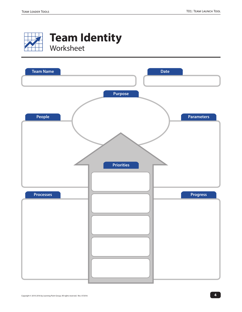